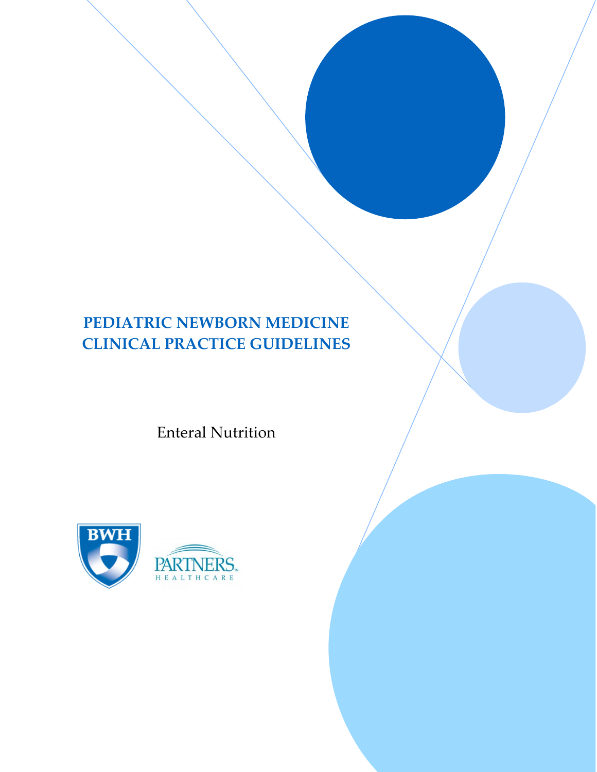# **PEDIATRIC NEWBORN MEDICINE CLINICAL PRACTICE GUIDELINES**

Enteral Nutrition

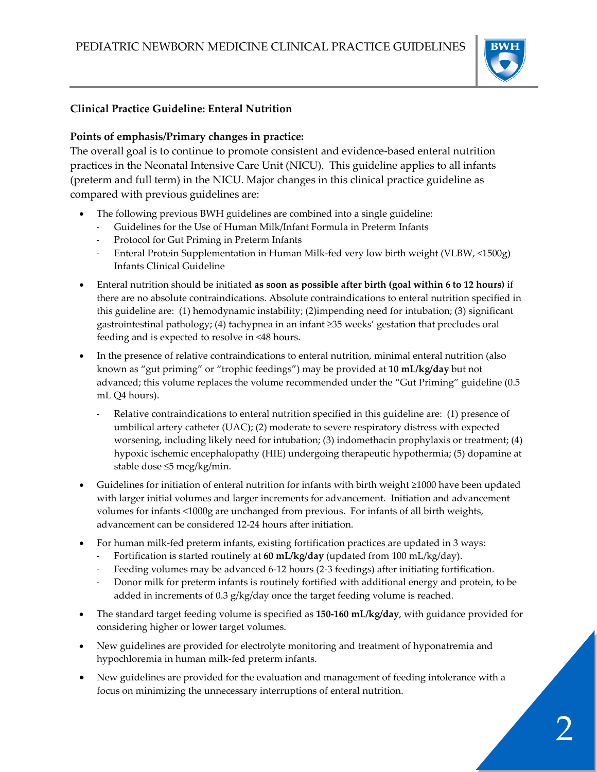

#### **Clinical Practice Guideline: Enteral Nutrition**

#### **Points of emphasis/Primary changes in practice:**

The overall goal is to continue to promote consistent and evidence-based enteral nutrition practices in the Neonatal Intensive Care Unit (NICU). This guideline applies to all infants (preterm and full term) in the NICU. Major changes in this clinical practice guideline as compared with previous guidelines are:

- The following previous BWH guidelines are combined into a single guideline:
	- Guidelines for the Use of Human Milk/Infant Formula in Preterm Infants
	- Protocol for Gut Priming in Preterm Infants
	- Enteral Protein Supplementation in Human Milk-fed very low birth weight (VLBW, <1500g) Infants Clinical Guideline
- Enteral nutrition should be initiated **as soon as possible after birth (goal within 6 to 12 hours)** if there are no absolute contraindications. Absolute contraindications to enteral nutrition specified in this guideline are: (1) hemodynamic instability; (2)impending need for intubation; (3) significant gastrointestinal pathology; (4) tachypnea in an infant ≥35 weeks' gestation that precludes oral feeding and is expected to resolve in <48 hours.
- In the presence of relative contraindications to enteral nutrition, minimal enteral nutrition (also known as "gut priming" or "trophic feedings") may be provided at **10 mL/kg/day** but not advanced; this volume replaces the volume recommended under the "Gut Priming" guideline (0.5 mL Q4 hours).
	- Relative contraindications to enteral nutrition specified in this guideline are: (1) presence of umbilical artery catheter (UAC); (2) moderate to severe respiratory distress with expected worsening, including likely need for intubation; (3) indomethacin prophylaxis or treatment; (4) hypoxic ischemic encephalopathy (HIE) undergoing therapeutic hypothermia; (5) dopamine at stable dose ≤5 mcg/kg/min.
- Guidelines for initiation of enteral nutrition for infants with birth weight ≥1000 have been updated with larger initial volumes and larger increments for advancement. Initiation and advancement volumes for infants <1000g are unchanged from previous. For infants of all birth weights, advancement can be considered 12-24 hours after initiation.
- For human milk-fed preterm infants, existing fortification practices are updated in 3 ways:
	- Fortification is started routinely at **60 mL/kg/day** (updated from 100 mL/kg/day).
	- Feeding volumes may be advanced 6-12 hours (2-3 feedings) after initiating fortification.
	- Donor milk for preterm infants is routinely fortified with additional energy and protein, to be added in increments of 0.3 g/kg/day once the target feeding volume is reached.
- The standard target feeding volume is specified as **150-160 mL/kg/day**, with guidance provided for considering higher or lower target volumes.
- New guidelines are provided for electrolyte monitoring and treatment of hyponatremia and hypochloremia in human milk-fed preterm infants.
- New guidelines are provided for the evaluation and management of feeding intolerance with a focus on minimizing the unnecessary interruptions of enteral nutrition.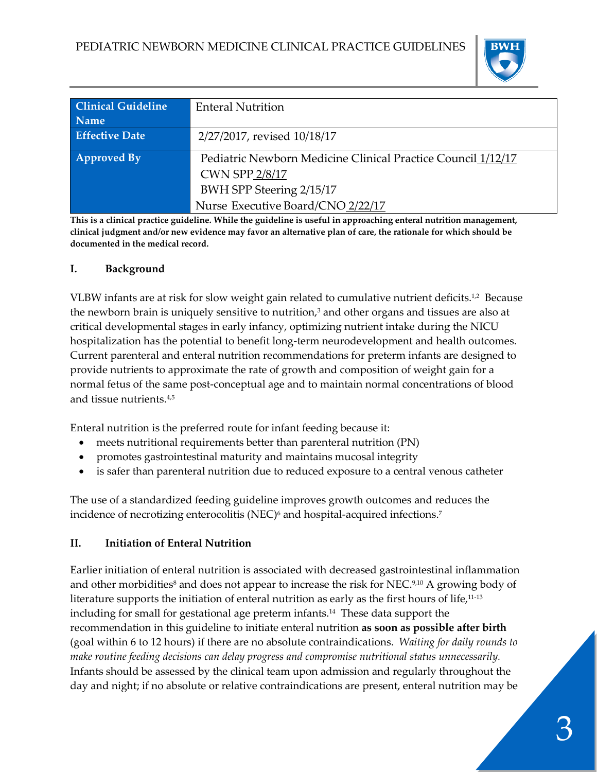

| <b>Clinical Guideline</b> | <b>Enteral Nutrition</b>                                     |
|---------------------------|--------------------------------------------------------------|
| Name                      |                                                              |
| <b>Effective Date</b>     | 2/27/2017, revised 10/18/17                                  |
| <b>Approved By</b>        | Pediatric Newborn Medicine Clinical Practice Council 1/12/17 |
|                           | <b>CWN SPP 2/8/17</b>                                        |
|                           | BWH SPP Steering 2/15/17                                     |
|                           | Nurse Executive Board/CNO 2/22/17                            |

**This is a clinical practice guideline. While the guideline is useful in approaching enteral nutrition management, clinical judgment and/or new evidence may favor an alternative plan of care, the rationale for which should be documented in the medical record.**

#### **I. Background**

VLBW infants are at risk for slow weight gain related to cumulative nutrient deficits.1,2 Because the newborn brain is uniquely sensitive to nutrition, $3$  and other organs and tissues are also at critical developmental stages in early infancy, optimizing nutrient intake during the NICU hospitalization has the potential to benefit long-term neurodevelopment and health outcomes. Current parenteral and enteral nutrition recommendations for preterm infants are designed to provide nutrients to approximate the rate of growth and composition of weight gain for a normal fetus of the same post-conceptual age and to maintain normal concentrations of blood and tissue nutrients.4,5

Enteral nutrition is the preferred route for infant feeding because it:

- meets nutritional requirements better than parenteral nutrition (PN)
- promotes gastrointestinal maturity and maintains mucosal integrity
- is safer than parenteral nutrition due to reduced exposure to a central venous catheter

The use of a standardized feeding guideline improves growth outcomes and reduces the incidence of necrotizing enterocolitis (NEC)<sup>6</sup> and hospital-acquired infections.<sup>7</sup>

#### **II. Initiation of Enteral Nutrition**

Earlier initiation of enteral nutrition is associated with decreased gastrointestinal inflammation and other morbidities<sup>8</sup> and does not appear to increase the risk for NEC.<sup>9,10</sup> A growing body of literature supports the initiation of enteral nutrition as early as the first hours of life,<sup>11-13</sup> including for small for gestational age preterm infants.14 These data support the recommendation in this guideline to initiate enteral nutrition **as soon as possible after birth** (goal within 6 to 12 hours) if there are no absolute contraindications. *Waiting for daily rounds to make routine feeding decisions can delay progress and compromise nutritional status unnecessarily.*  Infants should be assessed by the clinical team upon admission and regularly throughout the day and night; if no absolute or relative contraindications are present, enteral nutrition may be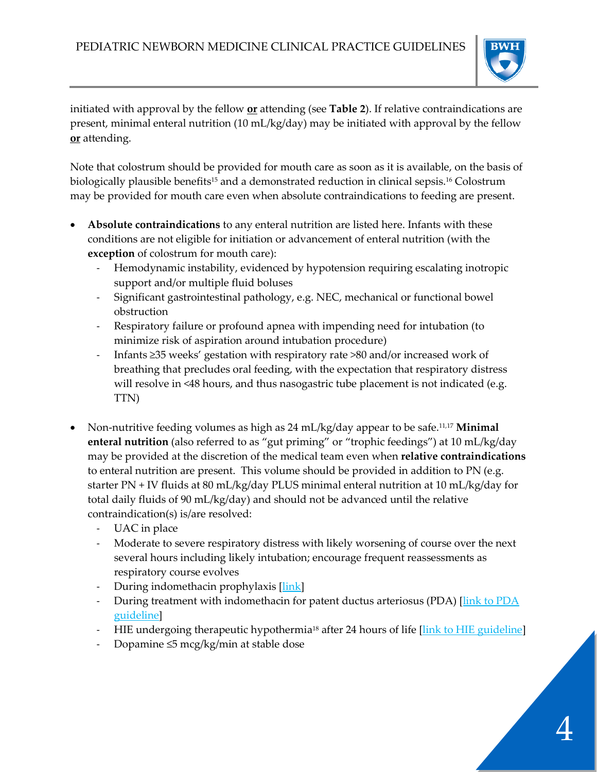

initiated with approval by the fellow **or** attending (see **Table 2**). If relative contraindications are present, minimal enteral nutrition (10 mL/kg/day) may be initiated with approval by the fellow **or** attending.

Note that colostrum should be provided for mouth care as soon as it is available, on the basis of biologically plausible benefits<sup>15</sup> and a demonstrated reduction in clinical sepsis.<sup>16</sup> Colostrum may be provided for mouth care even when absolute contraindications to feeding are present.

- **Absolute contraindications** to any enteral nutrition are listed here. Infants with these conditions are not eligible for initiation or advancement of enteral nutrition (with the **exception** of colostrum for mouth care):
	- Hemodynamic instability, evidenced by hypotension requiring escalating inotropic support and/or multiple fluid boluses
	- Significant gastrointestinal pathology, e.g. NEC, mechanical or functional bowel obstruction
	- Respiratory failure or profound apnea with impending need for intubation (to minimize risk of aspiration around intubation procedure)
	- Infants ≥35 weeks' gestation with respiratory rate >80 and/or increased work of breathing that precludes oral feeding, with the expectation that respiratory distress will resolve in <48 hours, and thus nasogastric tube placement is not indicated (e.g. TTN)
- Non-nutritive feeding volumes as high as 24 mL/kg/day appear to be safe.11,17 **Minimal enteral nutrition** (also referred to as "gut priming" or "trophic feedings") at 10 mL/kg/day may be provided at the discretion of the medical team even when **relative contraindications** to enteral nutrition are present. This volume should be provided in addition to PN (e.g. starter PN + IV fluids at 80 mL/kg/day PLUS minimal enteral nutrition at 10 mL/kg/day for total daily fluids of 90 mL/kg/day) and should not be advanced until the relative contraindication(s) is/are resolved:
	- UAC in place
	- Moderate to severe respiratory distress with likely worsening of course over the next several hours including likely intubation; encourage frequent reassessments as respiratory course evolves
	- During indomethacin prophylaxis [\[link\]](http://bwhpikenotes.org/Departments_Centers/NewbornMedicine_NICU/documents/Brigham%20IVH%20prevention%20Guidelines_FINAL_01%2015%2016%20with%20dates.pdf)
	- During treatment with indomethacin for patent ductus arteriosus (PDA) [link to PDA] [guideline\]](http://www.bwhpikenotes.org/Departments_Centers/NewbornMedicine_NICU/documents/PDA%20Guideline_no%20DRAFT%20watermark.pdf)
	- HIE undergoing therapeutic hypothermia<sup>18</sup> after 24 hours of life [\[link to HIE guideline\]](http://bwhpikenotes.org/Departments_Centers/NewbornMedicine_NICU/documents/TH%20final%20_%20revised%2012%2008%2015_FINAL.pdf)
	- Dopamine ≤5 mcg/kg/min at stable dose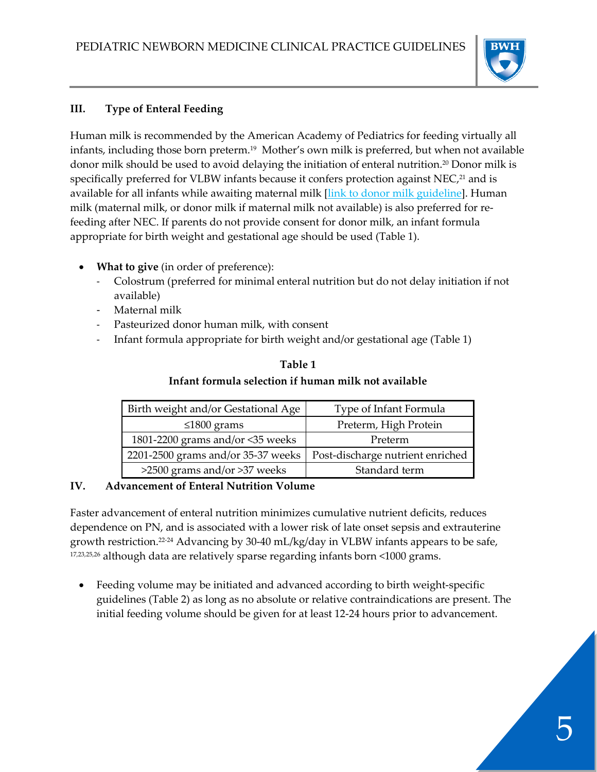

## **III. Type of Enteral Feeding**

Human milk is recommended by the American Academy of Pediatrics for feeding virtually all infants, including those born preterm.19 Mother's own milk is preferred, but when not available donor milk should be used to avoid delaying the initiation of enteral nutrition.20 Donor milk is specifically preferred for VLBW infants because it confers protection against NEC,<sup>21</sup> and is available for all infants while awaiting maternal milk *[\[link to donor milk guideline\]](https://hospitalpolicies.ellucid.com/documents/view/3282)*. Human milk (maternal milk, or donor milk if maternal milk not available) is also preferred for refeeding after NEC. If parents do not provide consent for donor milk, an infant formula appropriate for birth weight and gestational age should be used (Table 1).

- **What to give** (in order of preference):
	- Colostrum (preferred for minimal enteral nutrition but do not delay initiation if not available)
	- Maternal milk
	- Pasteurized donor human milk, with consent
	- Infant formula appropriate for birth weight and/or gestational age (Table 1)

| Birth weight and/or Gestational Age | Type of Infant Formula           |  |  |
|-------------------------------------|----------------------------------|--|--|
| $\leq 1800$ grams                   | Preterm, High Protein            |  |  |
| 1801-2200 grams and/or <35 weeks    | Preterm                          |  |  |
| 2201-2500 grams and/or 35-37 weeks  | Post-discharge nutrient enriched |  |  |
| >2500 grams and/or >37 weeks        | Standard term                    |  |  |

## **Table 1 Infant formula selection if human milk not available**

## **IV. Advancement of Enteral Nutrition Volume**

Faster advancement of enteral nutrition minimizes cumulative nutrient deficits, reduces dependence on PN, and is associated with a lower risk of late onset sepsis and extrauterine growth restriction.22-24 Advancing by 30-40 mL/kg/day in VLBW infants appears to be safe, 17,23,25,26 although data are relatively sparse regarding infants born <1000 grams.

• Feeding volume may be initiated and advanced according to birth weight-specific guidelines (Table 2) as long as no absolute or relative contraindications are present. The initial feeding volume should be given for at least 12-24 hours prior to advancement.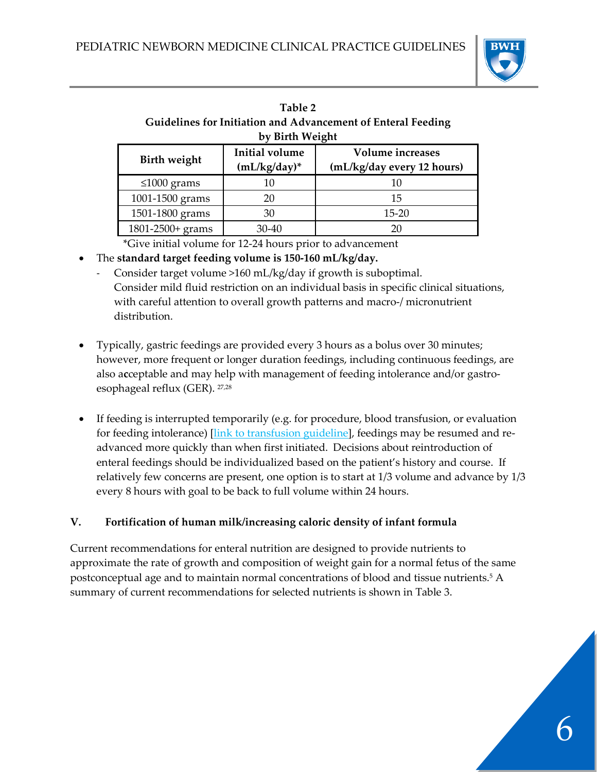

| Table 2                                                      |  |  |  |
|--------------------------------------------------------------|--|--|--|
| Guidelines for Initiation and Advancement of Enteral Feeding |  |  |  |
| by Birth Weight                                              |  |  |  |

| $\mathbf{v}$ , Direct $\mathbf{v}$ , $\mathbf{v}$ |                                          |                                                       |  |  |  |  |
|---------------------------------------------------|------------------------------------------|-------------------------------------------------------|--|--|--|--|
| <b>Birth weight</b>                               | <b>Initial volume</b><br>$(mL/kg/day)^*$ | <b>Volume</b> increases<br>(mL/kg/day every 12 hours) |  |  |  |  |
| $\leq 1000$ grams                                 | 10                                       | 10                                                    |  |  |  |  |
| 1001-1500 grams                                   | 20                                       | 15                                                    |  |  |  |  |
| 1501-1800 grams                                   | 30                                       | $15 - 20$                                             |  |  |  |  |
| 1801-2500+ grams                                  | 30-40                                    | 20                                                    |  |  |  |  |

\*Give initial volume for 12-24 hours prior to advancement

- The **standard target feeding volume is 150-160 mL/kg/day.**
	- Consider target volume >160 mL/kg/day if growth is suboptimal. Consider mild fluid restriction on an individual basis in specific clinical situations, with careful attention to overall growth patterns and macro-/ micronutrient distribution.
- Typically, gastric feedings are provided every 3 hours as a bolus over 30 minutes; however, more frequent or longer duration feedings, including continuous feedings, are also a**c**ceptable and may help with management of feeding intolerance and/or gastroesophageal reflux (GER). 27,28
- If feeding is interrupted temporarily (e.g. for procedure, blood transfusion, or evaluation for feeding intolerance) [\[link to transfusion guideline\]](http://www.bwhpikenotes.org/policies/departments/NICU/documents/DPNM_Feeding_during_packed_red_blood_cell_transfusion_CPG.pdf), feedings may be resumed and readvanced more quickly than when first initiated. Decisions about reintroduction of enteral feedings should be individualized based on the patient's history and course. If relatively few concerns are present, one option is to start at 1/3 volume and advance by 1/3 every 8 hours with goal to be back to full volume within 24 hours.

## **V. Fortification of human milk/increasing caloric density of infant formula**

Current recommendations for enteral nutrition are designed to provide nutrients to approximate the rate of growth and composition of weight gain for a normal fetus of the same postconceptual age and to maintain normal concentrations of blood and tissue nutrients.<sup>5</sup> A summary of current recommendations for selected nutrients is shown in Table 3.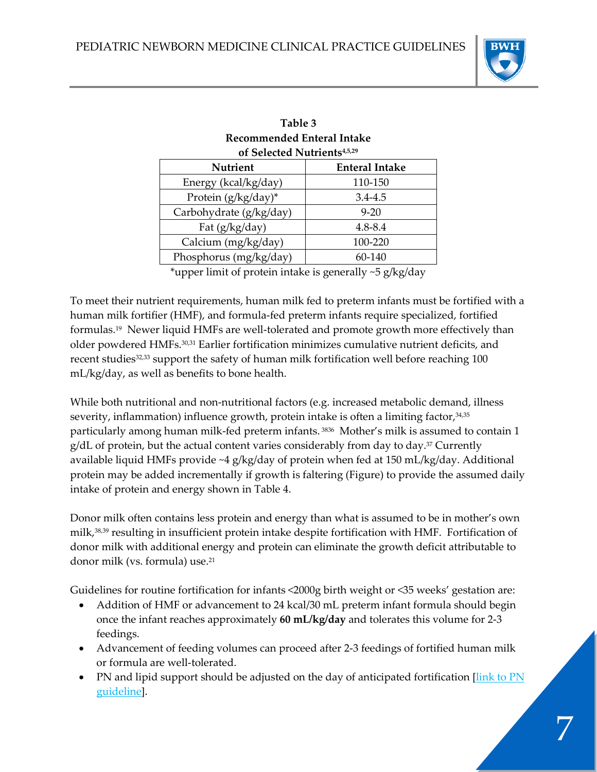

7

| Table 3                                 |                    |  |  |  |
|-----------------------------------------|--------------------|--|--|--|
| Recommended Enteral Intake              |                    |  |  |  |
| of Selected Nutrients <sup>4,5,29</sup> |                    |  |  |  |
| <b>Nutrient</b>                         | <b>Enteral Int</b> |  |  |  |

| Nutrient                | <b>Enteral Intake</b> |  |  |
|-------------------------|-----------------------|--|--|
| Energy (kcal/kg/day)    | 110-150               |  |  |
| Protein (g/kg/day)*     | $3.4 - 4.5$           |  |  |
| Carbohydrate (g/kg/day) | $9 - 20$              |  |  |
| Fat $(g/kg/day)$        | $4.8 - 8.4$           |  |  |
| Calcium (mg/kg/day)     | 100-220               |  |  |
| Phosphorus (mg/kg/day)  | 60-140                |  |  |

\*upper limit of protein intake is generally ~5 g/kg/day

To meet their nutrient requirements, human milk fed to preterm infants must be fortified with a human milk fortifier (HMF), and formula-fed preterm infants require specialized, fortified formulas.19 Newer liquid HMFs are well-tolerated and promote growth more effectively than older powdered HMFs.30,31 Earlier fortification minimizes cumulative nutrient deficits, and recent studies<sup>32,33</sup> support the safety of human milk fortification well before reaching 100 mL/kg/day, as well as benefits to bone health.

While both nutritional and non-nutritional factors (e.g. increased metabolic demand, illness severity, inflammation) influence growth, protein intake is often a limiting factor, 34,35 particularly among human milk-fed preterm infants.<sup>3836</sup> Mother's milk is assumed to contain 1  $g/dL$  of protein, but the actual content varies considerably from day to day.<sup>37</sup> Currently available liquid HMFs provide ~4 g/kg/day of protein when fed at 150 mL/kg/day. Additional protein may be added incrementally if growth is faltering (Figure) to provide the assumed daily intake of protein and energy shown in Table 4.

Donor milk often contains less protein and energy than what is assumed to be in mother's own milk,38,39 resulting in insufficient protein intake despite fortification with HMF. Fortification of donor milk with additional energy and protein can eliminate the growth deficit attributable to donor milk (vs. formula) use.<sup>21</sup>

Guidelines for routine fortification for infants <2000g birth weight or <35 weeks' gestation are:

- Addition of HMF or advancement to 24 kcal/30 mL preterm infant formula should begin once the infant reaches approximately **60 mL/kg/day** and tolerates this volume for 2-3 feedings.
- Advancement of feeding volumes can proceed after 2-3 feedings of fortified human milk or formula are well-tolerated.
- PN and lipid support should be adjusted on the day of anticipated fortification *[link to PN]* [guideline\]](http://www.bwhpikenotes.org/Departments_Centers/NewbornMedicine_NICU/documents/DPNM_Parenteral_Nutrition_Clinical_Guideline_9_2_2016_DE.pdf).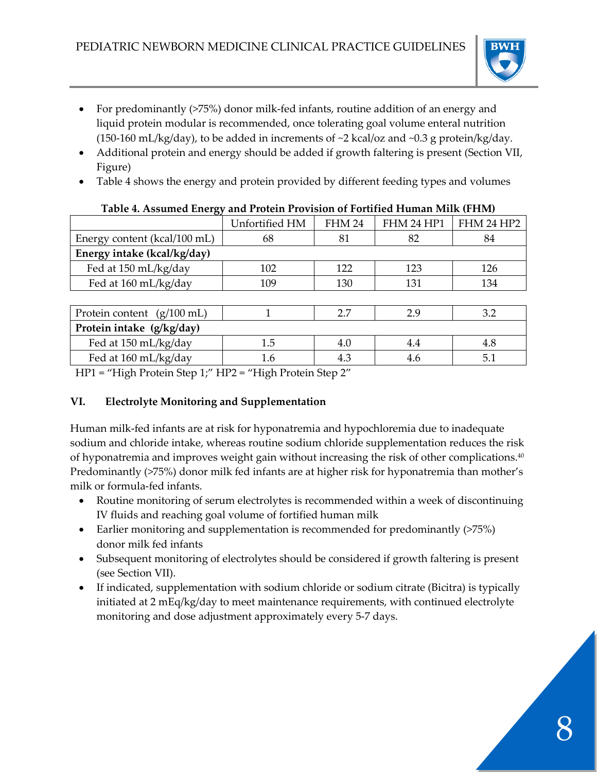

- For predominantly (>75%) donor milk-fed infants, routine addition of an energy and liquid protein modular is recommended, once tolerating goal volume enteral nutrition (150-160 mL/kg/day), to be added in increments of  $\sim$ 2 kcal/oz and  $\sim$ 0.3 g protein/kg/day.
- Additional protein and energy should be added if growth faltering is present (Section VII, Figure)
- Table 4 shows the energy and protein provided by different feeding types and volumes

|                                      | Unfortified HM | <b>FHM 24</b> | FHM 24 HP1 | FHM 24 HP2 |  |  |
|--------------------------------------|----------------|---------------|------------|------------|--|--|
| Energy content (kcal/100 mL)         | 68             | 81            | 82         | 84         |  |  |
| Energy intake (kcal/kg/day)          |                |               |            |            |  |  |
| Fed at 150 mL/kg/day                 | 102            | 122           | 123        | 126        |  |  |
| Fed at 160 mL/kg/day                 | 109            | 130           | 131        | 134        |  |  |
|                                      |                |               |            |            |  |  |
| Protein content $(g/100 \text{ mL})$ |                | 2.7           | 2.9        | 3.2        |  |  |
| Protein intake (g/kg/day)            |                |               |            |            |  |  |
| Fed at 150 mL/kg/day                 | 1.5            | 4.0           | 4.4        | 4.8        |  |  |
| Fed at 160 mL/kg/day                 | 1.6            | 4.3           | 4.6        | 5.1        |  |  |

#### **Table 4. Assumed Energy and Protein Provision of Fortified Human Milk (FHM)**

HP1 = "High Protein Step 1;" HP2 = "High Protein Step 2"

## **VI. Electrolyte Monitoring and Supplementation**

Human milk-fed infants are at risk for hyponatremia and hypochloremia due to inadequate sodium and chloride intake, whereas routine sodium chloride supplementation reduces the risk of hyponatremia and improves weight gain without increasing the risk of other complications.40 Predominantly (>75%) donor milk fed infants are at higher risk for hyponatremia than mother's milk or formula-fed infants.

- Routine monitoring of serum electrolytes is recommended within a week of discontinuing IV fluids and reaching goal volume of fortified human milk
- Earlier monitoring and supplementation is recommended for predominantly (>75%) donor milk fed infants
- Subsequent monitoring of electrolytes should be considered if growth faltering is present (see Section VII).
- If indicated, supplementation with sodium chloride or sodium citrate (Bicitra) is typically initiated at 2 mEq/kg/day to meet maintenance requirements, with continued electrolyte monitoring and dose adjustment approximately every 5-7 days.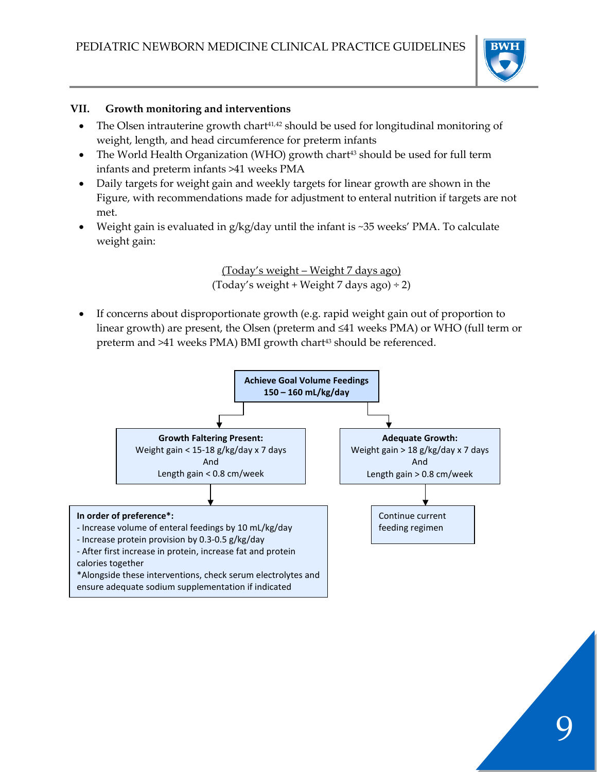

#### **VII. Growth monitoring and interventions**

- The Olsen intrauterine growth chart<sup>41,42</sup> should be used for longitudinal monitoring of weight, length, and head circumference for preterm infants
- The World Health Organization (WHO) growth chart<sup>43</sup> should be used for full term infants and preterm infants >41 weeks PMA
- Daily targets for weight gain and weekly targets for linear growth are shown in the Figure, with recommendations made for adjustment to enteral nutrition if targets are not met.
- Weight gain is evaluated in  $g/kg/day$  until the infant is ~35 weeks' PMA. To calculate weight gain:

(Today's weight – Weight 7 days ago) (Today's weight + Weight 7 days ago)  $\div$  2)

If concerns about disproportionate growth (e.g. rapid weight gain out of proportion to linear growth) are present, the Olsen (preterm and ≤41 weeks PMA) or WHO (full term or preterm and >41 weeks PMA) BMI growth chart<sup>43</sup> should be referenced.

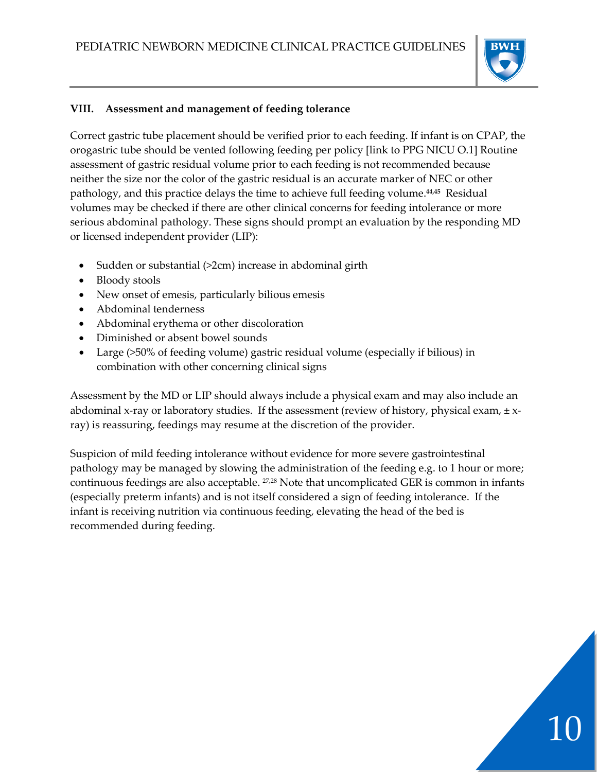

10

#### **VIII. Assessment and management of feeding tolerance**

Correct gastric tube placement should be verified prior to each feeding. If infant is on CPAP, the orogastric tube should be vented following feeding per policy [link to PPG NICU O.1] Routine assessment of gastric residual volume prior to each feeding is not recommended because neither the size nor the color of the gastric residual is an accurate marker of NEC or other pathology, and this practice delays the time to achieve full feeding volume.<sup>44,45</sup> Residual volumes may be checked if there are other clinical concerns for feeding intolerance or more serious abdominal pathology. These signs should prompt an evaluation by the responding MD or licensed independent provider (LIP):

- Sudden or substantial (>2cm) increase in abdominal girth
- Bloody stools
- New onset of emesis, particularly bilious emesis
- Abdominal tenderness
- Abdominal erythema or other discoloration
- Diminished or absent bowel sounds
- Large (>50% of feeding volume) gastric residual volume (especially if bilious) in combination with other concerning clinical signs

Assessment by the MD or LIP should always include a physical exam and may also include an abdominal x-ray or laboratory studies. If the assessment (review of history, physical exam,  $\pm x$ ray) is reassuring, feedings may resume at the discretion of the provider.

Suspicion of mild feeding intolerance without evidence for more severe gastrointestinal pathology may be managed by slowing the administration of the feeding e.g. to 1 hour or more; continuous feedings are also acceptable. 27,28 Note that uncomplicated GER is common in infants (especially preterm infants) and is not itself considered a sign of feeding intolerance. If the infant is receiving nutrition via continuous feeding, elevating the head of the bed is recommended during feeding.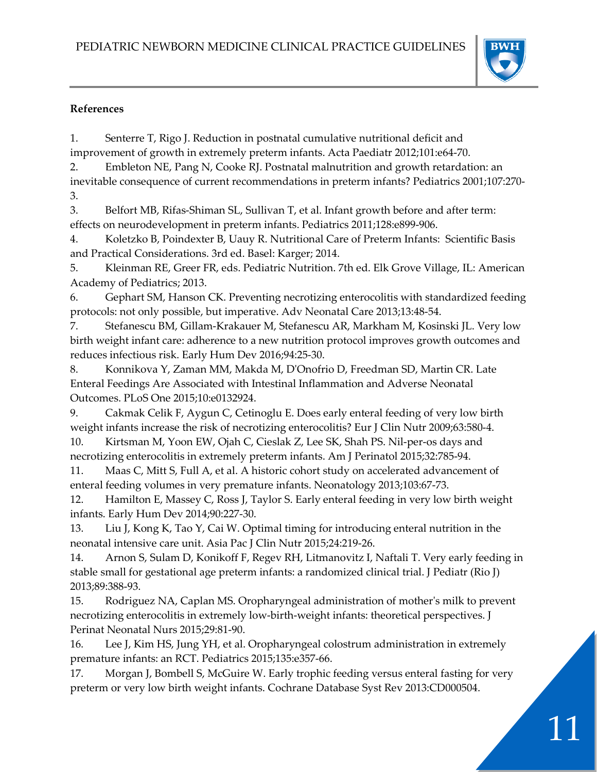

### **References**

1. Senterre T, Rigo J. Reduction in postnatal cumulative nutritional deficit and improvement of growth in extremely preterm infants. Acta Paediatr 2012;101:e64-70.

2. Embleton NE, Pang N, Cooke RJ. Postnatal malnutrition and growth retardation: an inevitable consequence of current recommendations in preterm infants? Pediatrics 2001;107:270- 3.

3. Belfort MB, Rifas-Shiman SL, Sullivan T, et al. Infant growth before and after term: effects on neurodevelopment in preterm infants. Pediatrics 2011;128:e899-906.

4. Koletzko B, Poindexter B, Uauy R. Nutritional Care of Preterm Infants: Scientific Basis and Practical Considerations. 3rd ed. Basel: Karger; 2014.

5. Kleinman RE, Greer FR, eds. Pediatric Nutrition. 7th ed. Elk Grove Village, IL: American Academy of Pediatrics; 2013.

6. Gephart SM, Hanson CK. Preventing necrotizing enterocolitis with standardized feeding protocols: not only possible, but imperative. Adv Neonatal Care 2013;13:48-54.

7. Stefanescu BM, Gillam-Krakauer M, Stefanescu AR, Markham M, Kosinski JL. Very low birth weight infant care: adherence to a new nutrition protocol improves growth outcomes and reduces infectious risk. Early Hum Dev 2016;94:25-30.

8. Konnikova Y, Zaman MM, Makda M, D'Onofrio D, Freedman SD, Martin CR. Late Enteral Feedings Are Associated with Intestinal Inflammation and Adverse Neonatal Outcomes. PLoS One 2015;10:e0132924.

9. Cakmak Celik F, Aygun C, Cetinoglu E. Does early enteral feeding of very low birth weight infants increase the risk of necrotizing enterocolitis? Eur J Clin Nutr 2009;63:580-4.

10. Kirtsman M, Yoon EW, Ojah C, Cieslak Z, Lee SK, Shah PS. Nil-per-os days and necrotizing enterocolitis in extremely preterm infants. Am J Perinatol 2015;32:785-94.

11. Maas C, Mitt S, Full A, et al. A historic cohort study on accelerated advancement of enteral feeding volumes in very premature infants. Neonatology 2013;103:67-73.

12. Hamilton E, Massey C, Ross J, Taylor S. Early enteral feeding in very low birth weight infants. Early Hum Dev 2014;90:227-30.

13. Liu J, Kong K, Tao Y, Cai W. Optimal timing for introducing enteral nutrition in the neonatal intensive care unit. Asia Pac J Clin Nutr 2015;24:219-26.

14. Arnon S, Sulam D, Konikoff F, Regev RH, Litmanovitz I, Naftali T. Very early feeding in stable small for gestational age preterm infants: a randomized clinical trial. J Pediatr (Rio J) 2013;89:388-93.

15. Rodriguez NA, Caplan MS. Oropharyngeal administration of mother's milk to prevent necrotizing enterocolitis in extremely low-birth-weight infants: theoretical perspectives. J Perinat Neonatal Nurs 2015;29:81-90.

16. Lee J, Kim HS, Jung YH, et al. Oropharyngeal colostrum administration in extremely premature infants: an RCT. Pediatrics 2015;135:e357-66.

17. Morgan J, Bombell S, McGuire W. Early trophic feeding versus enteral fasting for very preterm or very low birth weight infants. Cochrane Database Syst Rev 2013:CD000504.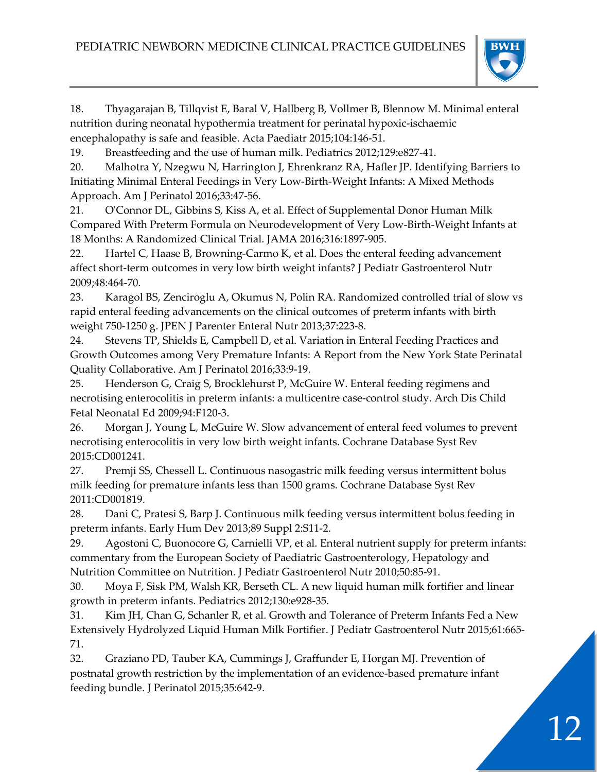

18. Thyagarajan B, Tillqvist E, Baral V, Hallberg B, Vollmer B, Blennow M. Minimal enteral nutrition during neonatal hypothermia treatment for perinatal hypoxic-ischaemic encephalopathy is safe and feasible. Acta Paediatr 2015;104:146-51.

19. Breastfeeding and the use of human milk. Pediatrics 2012;129:e827-41.

20. Malhotra Y, Nzegwu N, Harrington J, Ehrenkranz RA, Hafler JP. Identifying Barriers to Initiating Minimal Enteral Feedings in Very Low-Birth-Weight Infants: A Mixed Methods Approach. Am J Perinatol 2016;33:47-56.

21. O'Connor DL, Gibbins S, Kiss A, et al. Effect of Supplemental Donor Human Milk Compared With Preterm Formula on Neurodevelopment of Very Low-Birth-Weight Infants at 18 Months: A Randomized Clinical Trial. JAMA 2016;316:1897-905.

22. Hartel C, Haase B, Browning-Carmo K, et al. Does the enteral feeding advancement affect short-term outcomes in very low birth weight infants? J Pediatr Gastroenterol Nutr 2009;48:464-70.

23. Karagol BS, Zenciroglu A, Okumus N, Polin RA. Randomized controlled trial of slow vs rapid enteral feeding advancements on the clinical outcomes of preterm infants with birth weight 750-1250 g. JPEN J Parenter Enteral Nutr 2013;37:223-8.

24. Stevens TP, Shields E, Campbell D, et al. Variation in Enteral Feeding Practices and Growth Outcomes among Very Premature Infants: A Report from the New York State Perinatal Quality Collaborative. Am J Perinatol 2016;33:9-19.

25. Henderson G, Craig S, Brocklehurst P, McGuire W. Enteral feeding regimens and necrotising enterocolitis in preterm infants: a multicentre case-control study. Arch Dis Child Fetal Neonatal Ed 2009;94:F120-3.

26. Morgan J, Young L, McGuire W. Slow advancement of enteral feed volumes to prevent necrotising enterocolitis in very low birth weight infants. Cochrane Database Syst Rev 2015:CD001241.

27. Premji SS, Chessell L. Continuous nasogastric milk feeding versus intermittent bolus milk feeding for premature infants less than 1500 grams. Cochrane Database Syst Rev 2011:CD001819.

28. Dani C, Pratesi S, Barp J. Continuous milk feeding versus intermittent bolus feeding in preterm infants. Early Hum Dev 2013;89 Suppl 2:S11-2.

29. Agostoni C, Buonocore G, Carnielli VP, et al. Enteral nutrient supply for preterm infants: commentary from the European Society of Paediatric Gastroenterology, Hepatology and Nutrition Committee on Nutrition. J Pediatr Gastroenterol Nutr 2010;50:85-91.

30. Moya F, Sisk PM, Walsh KR, Berseth CL. A new liquid human milk fortifier and linear growth in preterm infants. Pediatrics 2012;130:e928-35.

31. Kim JH, Chan G, Schanler R, et al. Growth and Tolerance of Preterm Infants Fed a New Extensively Hydrolyzed Liquid Human Milk Fortifier. J Pediatr Gastroenterol Nutr 2015;61:665- 71.

32. Graziano PD, Tauber KA, Cummings J, Graffunder E, Horgan MJ. Prevention of postnatal growth restriction by the implementation of an evidence-based premature infant feeding bundle. J Perinatol 2015;35:642-9.